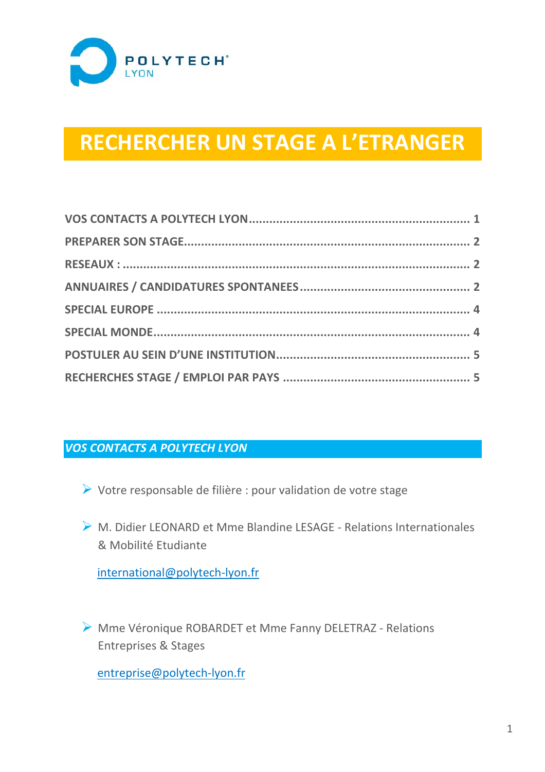

# **RECHERCHER UN STAGE A L'ETRANGER**

### *VOS CONTACTS A POLYTECH LYON*

- ¾ Votre responsable de filière : pour validation de votre stage
- ¾ M. Didier LEONARD et Mme Blandine LESAGE ‐ Relations Internationales & Mobilité Etudiante

international@polytech‐lyon.fr

¾ Mme Véronique ROBARDET et Mme Fanny DELETRAZ ‐ Relations Entreprises & Stages

entreprise@polytech‐lyon.fr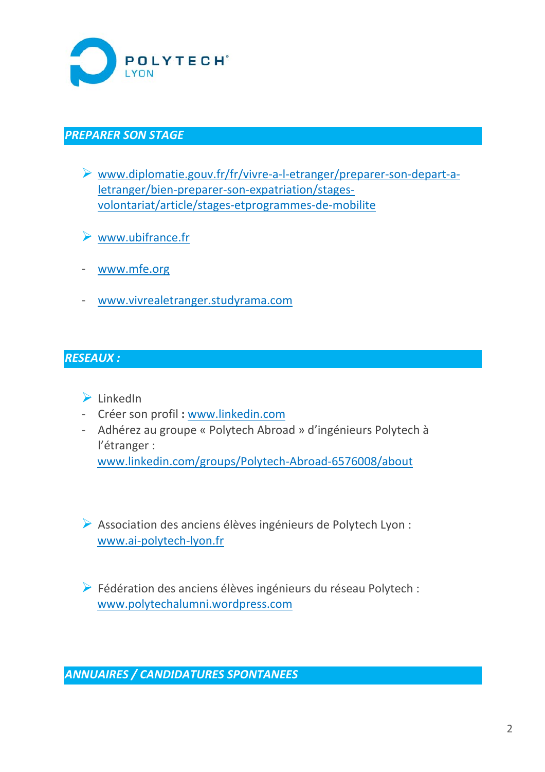

## *PREPARER SON STAGE*

- ¾ www.diplomatie.gouv.fr/fr/vivre‐a‐l‐etranger/preparer‐son‐depart‐a‐ letranger/bien‐preparer‐son‐expatriation/stages‐ volontariat/article/stages‐etprogrammes‐de‐mobilite
- $\triangleright$  www.ubifrance.fr
- www.mfe.org
- www.vivrealetranger.studyrama.com

## *RESEAUX :*

### $\blacktriangleright$  LinkedIn

- Créer son profil **:** www.linkedin.com
- Adhérez au groupe « Polytech Abroad » d'ingénieurs Polytech à l'étranger :

www.linkedin.com/groups/Polytech‐Abroad‐6576008/about

¾ Association des anciens élèves ingénieurs de Polytech Lyon : www.ai‐polytech‐lyon.fr

¾ Fédération des anciens élèves ingénieurs du réseau Polytech : www.polytechalumni.wordpress.com

*ANNUAIRES / CANDIDATURES SPONTANEES*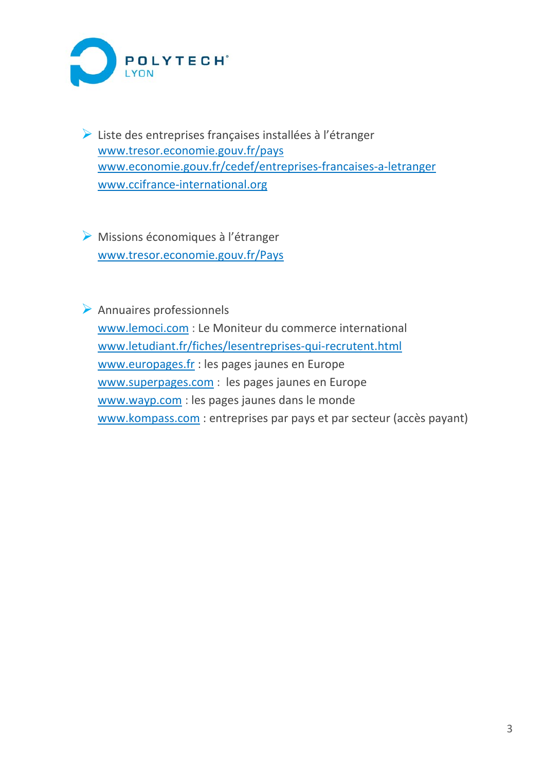

¾ Liste des entreprises françaises installées à l'étranger www.tresor.economie.gouv.fr/pays www.economie.gouv.fr/cedef/entreprises‐francaises‐a‐letranger www.ccifrance‐international.org

 $\triangleright$  Missions économiques à l'étranger www.tresor.economie.gouv.fr/Pays

 $\triangleright$  Annuaires professionnels www.lemoci.com : Le Moniteur du commerce international www.letudiant.fr/fiches/lesentreprises‐qui‐recrutent.html www.europages.fr : les pages jaunes en Europe www.superpages.com : les pages jaunes en Europe www.wayp.com : les pages jaunes dans le monde www.kompass.com : entreprises par pays et par secteur (accès payant)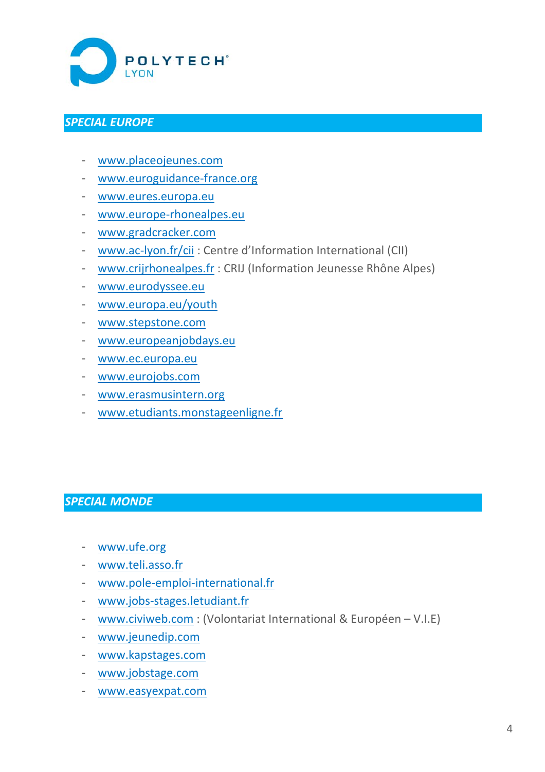

#### *SPECIAL EUROPE*

- www.placeojeunes.com
- www.euroguidance‐france.org
- www.eures.europa.eu
- www.europe‐rhonealpes.eu
- www.gradcracker.com
- www.ac‐lyon.fr/cii : Centre d'Information International (CII)
- www.crijrhonealpes.fr : CRIJ (Information Jeunesse Rhône Alpes)
- www.eurodyssee.eu
- www.europa.eu/youth
- www.stepstone.com
- www.europeanjobdays.eu
- www.ec.europa.eu
- www.eurojobs.com
- www.erasmusintern.org
- www.etudiants.monstageenligne.fr

## *SPECIAL MONDE*

- www.ufe.org
- www.teli.asso.fr
- www.pole‐emploi‐international.fr
- www.jobs‐stages.letudiant.fr
- www.civiweb.com : (Volontariat International & Européen V.I.E)
- www.jeunedip.com
- www.kapstages.com
- www.jobstage.com
- www.easyexpat.com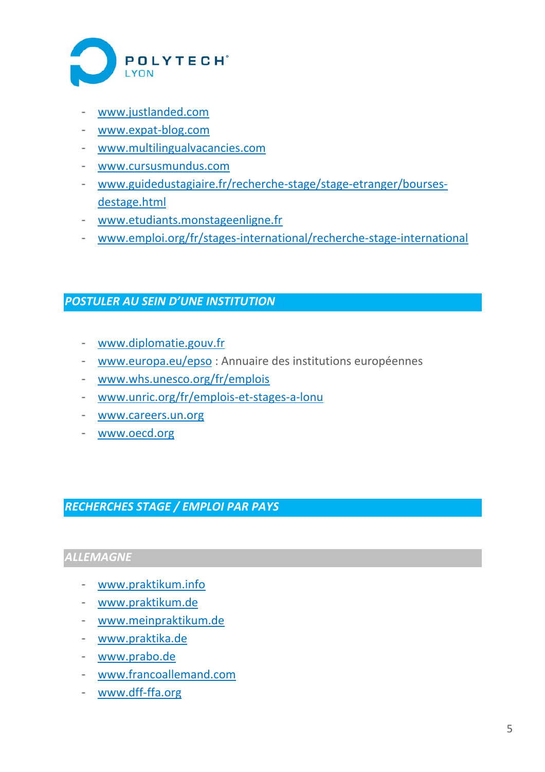

- www.justlanded.com
- www.expat‐blog.com
- www.multilingualvacancies.com
- www.cursusmundus.com
- www.guidedustagiaire.fr/recherche‐stage/stage‐etranger/bourses‐ destage.html
- www.etudiants.monstageenligne.fr
- www.emploi.org/fr/stages‐international/recherche‐stage‐international

### *POSTULER AU SEIN D'UNE INSTITUTION*

- www.diplomatie.gouv.fr
- www.europa.eu/epso : Annuaire des institutions européennes
- www.whs.unesco.org/fr/emplois
- www.unric.org/fr/emplois‐et‐stages‐a‐lonu
- www.careers.un.org
- www.oecd.org

*RECHERCHES STAGE / EMPLOI PAR PAYS* 

## *ALLEMAGNE*

- www.praktikum.info
- www.praktikum.de
- www.meinpraktikum.de
- www.praktika.de
- www.prabo.de
- www.francoallemand.com
- www.dff‐ffa.org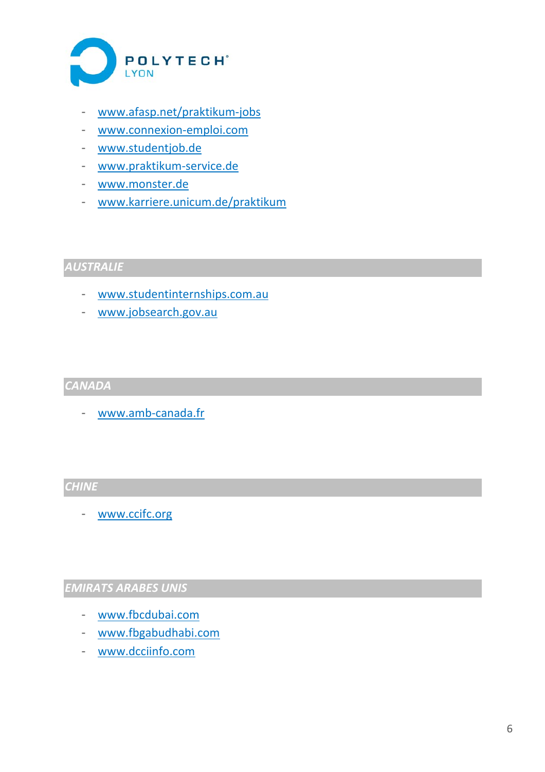

- www.afasp.net/praktikum‐jobs
- www.connexion‐emploi.com
- www.studentjob.de
- www.praktikum‐service.de
- www.monster.de
- www.karriere.unicum.de/praktikum

## *AUSTRALIE*

- www.studentinternships.com.au
- www.jobsearch.gov.au

#### *CANADA*

- www.amb‐canada.fr

#### *CHINE*

- www.ccifc.org

### *EMIRATS ARABES UNIS*

- www.fbcdubai.com
- www.fbgabudhabi.com
- www.dcciinfo.com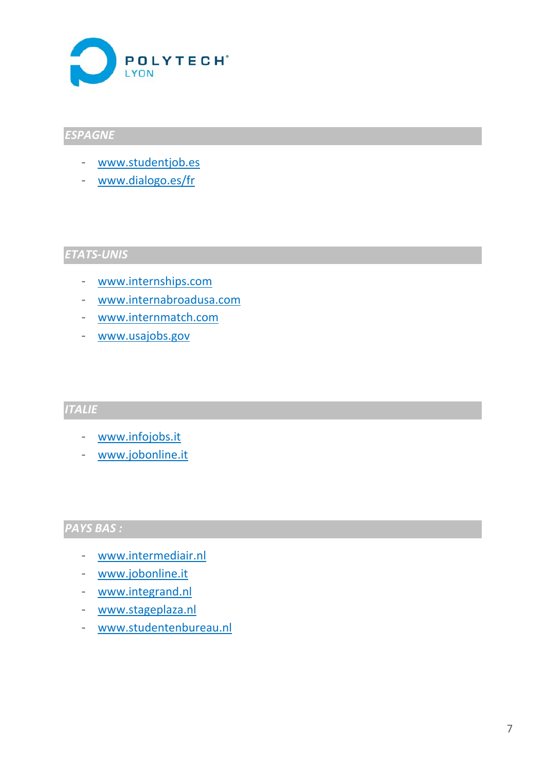

## *ESPAGNE*

- www.studentjob.es
- www.dialogo.es/fr

## *ETATS‐UNIS*

- www.internships.com
- www.internabroadusa.com
- www.internmatch.com
- www.usajobs.gov

## *ITALIE*

- www.infojobs.it
- www.jobonline.it

#### *PAYS BAS :*

- www.intermediair.nl
- www.jobonline.it
- www.integrand.nl
- www.stageplaza.nl
- www.studentenbureau.nl